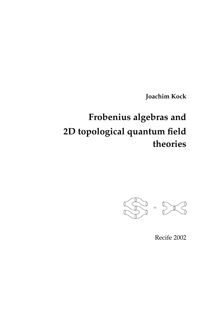Joachim Kock

# Frobenius algebras and 2D topological quantum field theories



Recife 2002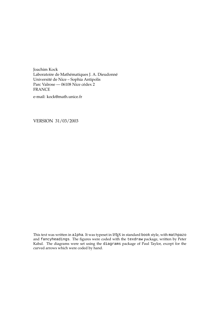Joachim Kock Laboratoire de Mathématiques J. A. Dieudonné Université de Nice – Sophia Antipolis Parc Valrose — 06108 Nice cédex 2 FRANCE

e-mail: kock@math.unice.fr

VERSION 31/03/2003

This text was written in alpha. It was typeset in LAT<sub>E</sub>X in standard book style, with <code>mathpazo</code> and fancyheadings. The figures were coded with the texdraw package, written by Peter Kabal. The diagrams were set using the diagrams package of Paul Taylor, except for the curved arrows which were coded by hand.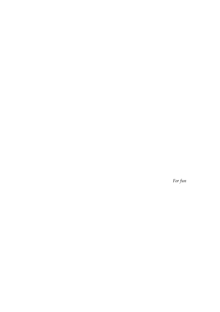For fun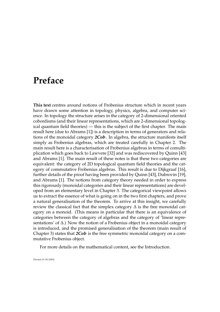### Preface

This text centres around notions of Frobenius structure which in recent years have drawn some attention in topology, physics, algebra, and computer science. In topology the structure arises in the category of 2-dimensional oriented cobordisms (and their linear representations, which are 2-dimensional topological quantum field theories) — this is the subject of the first chapter. The main result here (due to Abrams [1]) is a description in terms of generators and relations of the monoidal category 2Cob. In algebra, the structure manifests itself simply as Frobenius algebras, which are treated carefully in Chapter 2. The main result here is a characterisation of Frobenius algebras in terms of comultiplication which goes back to Lawvere [32] and was rediscovered by Quinn [43] and Abrams [1]. The main result of these notes is that these two categories are equivalent: the category of 2D topological quantum field theories and the category of commutative Frobenius algebras. This result is due to Dijkgraaf [16], further details of the proof having been provided by Quinn [43], Dubrovin [19], and Abrams [1]. The notions from category theory needed in order to express this rigorously (monoidal categories and their linear representations) are developed from an elementary level in Chapter 3. The categorical viewpoint allows us to extract the essence of what is going on in the two first chapters, and prove a natural generalisation of the theorem. To arrive at this insight, we carefully review the classical fact that the simplex category  $\Delta$  is the free monoidal category on a monoid. (This means in particular that there is an equivalence of categories between the category of algebras and the category of 'linear representations' of Δ.) Now the notion of a Frobenius object in a monoidal category is introduced, and the promised generalisation of the theorem (main result of Chapter 3) states that **2Cob** is the free symmetric monoidal category on a commutative Frobenius object.

For more details on the mathematical content, see the Introduction.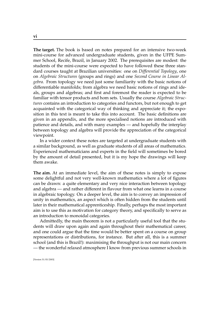The target. The book is based on notes prepared for an intensive two-week mini-course for advanced undergraduate students, given in the UFPE Summer School, Recife, Brazil, in January 2002. The prerequisites are modest: the students of the mini-course were expected to have followed these three standard courses taught at Brazilian universities: one on Differential Topology, one on Algebraic Structures (groups and rings) and one Second Course in Linear Algebra. From topology we need just some familiarity with the basic notions of differentiable manifolds; from algebra we need basic notions of rings and ideals, groups and algebras; and first and foremost the reader is expected to be familiar with tensor products and hom sets. Usually the course Algebraic Structures contains an introduction to categories and functors, but not enough to get acquainted with the categorical way of thinking and appreciate it; the exposition in this text is meant to take this into account. The basic definitions are given in an appendix, and the more specialised notions are introduced with patience and details, and with many examples — and hopefully the interplay between topology and algebra will provide the appreciation of the categorical viewpoint.

In a wider context these notes are targeted at undergraduate students with a similar background, as well as graduate students of all areas of mathematics. Experienced mathematicians and experts in the field will sometimes be bored by the amount of detail presented, but it is my hope the drawings will keep them awake.

The aim. At an immediate level, the aim of these notes is simply to expose some delightful and not very well-known mathematics where a lot of figures can be drawn: a quite elementary and very nice interaction between topology and algebra — and rather different in flavour from what one learns in a course in algebraic topology. On a deeper level, the aim is to convey an impression of unity in mathematics, an aspect which is often hidden from the students until later in their mathematical apprenticeship. Finally, perhaps the most important aim is to use this as motivation for category theory, and specifically to serve as an introduction to monoidal categories.

Admittedly, the main theorem is not a particularly useful tool that the students will draw upon again and again throughout their mathematical career, and one could argue that the time would be better spent on a course on group representations or distributions, for instance. But after all, this is a summer school (and this is Brazil!): maximising the throughput is not our main concern — the wonderful relaxed atmosphere I know from previous summer schools in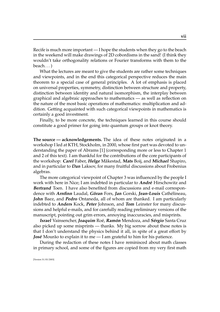Recife is much more important — I hope the students when they go to the beach in the weekend will make drawings of 2D cobordisms in the sand! (I think they wouldn't take orthogonality relations or Fourier transforms with them to the beach. . . )

What the lectures are meant to give the students are rather some techniques and viewpoints, and in the end this categorical perspective reduces the main theorem to a special case of general principles. A lot of emphasis is placed on universal properties, symmetry, distinction between structure and property, distinction between identity and natural isomorphism, the interplay between graphical and algebraic approaches to mathematics — as well as reflection on the nature of the most basic operations of mathematics: multiplication and addition. Getting acquainted with such categorical viewpoints in mathematics is certainly a good investment.

Finally, to be more concrete, the techniques learned in this course should constitute a good primer for going into quantum groups or knot theory.

The source — acknowledgements. The idea of these notes originated in a workshop I led at KTH, Stockholm, in 2000, whose first part was devoted to understanding the paper of Abrams [1] (corresponding more or less to Chapter 1 and 2 of this text). I am thankful for the contributions of the core participants of the workshop: Carel Faber, Helge Måkestad, Mats Boij, and Michael Shapiro, and in particular to Dan Laksov, for many fruitful discussions about Frobenius algebras.

The more categorical viewpoint of Chapter 3 was influenced by the people I work with here in Nice; I am indebted in particular to **André** Hirschowitz and Bertrand Toen. I have also benefited from discussions and e-mail correspondence with Arnfinn Laudal, Göran Fors, Jan Gorski, Jean-Louis Cathélineau, John Baez, and Pedro Ontaneda, all of whom are thanked. I am particularly indebted to Anders Kock, Peter Johnson, and Tom Leinster for many discussions and helpful e-mails, and for carefully reading preliminary versions of the manuscript, pointing out grim errors, annoying inaccuracies, and misprints.

Israel Vainsencher, Joaquim Roé, Ramón Mendoza, and Sérgio Santa Cruz also picked up some misprints — thanks. My big sorrow about these notes is that I don't understand the physics behind it all, in spite of a great effort by José Mourão to explain it to me — I am grateful to him for his patience.

During the redaction of these notes I have reminisced about math classes in primary school, and some of the figures are copied from my very first math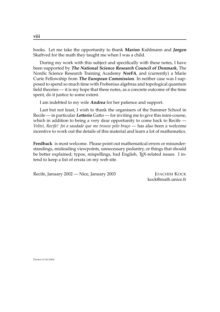books. Let me take the opportunity to thank Marion Kuhlmann and Jørgen Skaftved for the math they taught me when I was a child.

During my work with this subject and specifically with these notes, I have been supported by The National Science Research Council of Denmark, The Nordic Science Research Training Academy NorFA, and (currently) a Marie Curie Fellowship from The European Commission. In neither case was I supposed to spend so much time with Frobenius algebras and topological quantum field theories — it is my hope that these notes, as a concrete outcome of the time spent, do it justice to some extent.

I am indebted to my wife **Andrea** for her patience and support.

Last but not least, I wish to thank the organisers of the Summer School in Recife — in particular Letterio Gatto — for inviting me to give this mini-course, which in addition to being a very dear opportunity to come back to Recife — Voltei, Recife! foi a saudade que me trouxe pelo braço — has also been a welcome incentive to work out the details of this material and learn a lot of mathematics.

Feedback is most welcome. Please point out mathematical errors or misunderstandings, misleading viewpoints, unnecessary pedantry, or things that should be better explained; typos, mispellings, bad English, T<sub>F</sub>X-related issues. I intend to keep a list of errata on my web site.

Recife, January 2002 — Nice, January 2003 JOACHIM KOCK

kock@math.unice.fr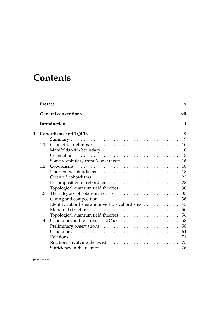## **Contents**

|             | Preface      |                                                                           | v   |  |  |  |
|-------------|--------------|---------------------------------------------------------------------------|-----|--|--|--|
|             |              | <b>General conventions</b>                                                | xii |  |  |  |
|             | Introduction |                                                                           |     |  |  |  |
| $\mathbf 1$ |              | <b>Cobordisms and TQFTs</b>                                               | 9   |  |  |  |
|             |              |                                                                           | 9   |  |  |  |
|             | 1.1          |                                                                           | 10  |  |  |  |
|             |              |                                                                           | 10  |  |  |  |
|             |              |                                                                           | 13  |  |  |  |
|             |              | Some vocabulary from Morse theory                                         | 16  |  |  |  |
|             | 1.2          |                                                                           | 18  |  |  |  |
|             |              |                                                                           | 18  |  |  |  |
|             |              |                                                                           | 22  |  |  |  |
|             |              |                                                                           | 28  |  |  |  |
|             |              |                                                                           | 30  |  |  |  |
|             | 1.3          |                                                                           | 35  |  |  |  |
|             |              |                                                                           | 36  |  |  |  |
|             |              | Identity cobordisms and invertible cobordisms                             | 45  |  |  |  |
|             |              |                                                                           | 50  |  |  |  |
|             |              |                                                                           | 56  |  |  |  |
|             | 1.4          |                                                                           | 58  |  |  |  |
|             |              |                                                                           | 58  |  |  |  |
|             |              |                                                                           | 64  |  |  |  |
|             |              | <b>Relations</b>                                                          | 71  |  |  |  |
|             |              | Relations involving the twist $\dots \dots \dots \dots \dots \dots \dots$ | 75  |  |  |  |
|             |              |                                                                           | 76  |  |  |  |
|             |              |                                                                           |     |  |  |  |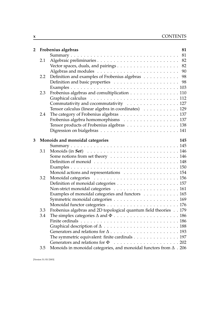| $\overline{2}$ |                  | Frobenius algebras                                                               | 81  |
|----------------|------------------|----------------------------------------------------------------------------------|-----|
|                |                  |                                                                                  | 81  |
|                | 2.1              |                                                                                  |     |
|                |                  |                                                                                  | 82  |
|                |                  |                                                                                  |     |
|                | $2.2\phantom{0}$ | Definition and examples of Frobenius algebras 98                                 |     |
|                |                  |                                                                                  |     |
|                |                  |                                                                                  |     |
|                | 2.3              | Frobenius algebras and comultiplication 110                                      |     |
|                |                  |                                                                                  |     |
|                |                  | Commutativity and cocommutativity 127                                            |     |
|                |                  | Tensor calculus (linear algebra in coordinates) 129                              |     |
|                | 2.4              |                                                                                  |     |
|                |                  | Frobenius algebra homomorphisms 137                                              |     |
|                |                  | Tensor products of Frobenius algebras 138                                        |     |
|                |                  |                                                                                  |     |
|                |                  |                                                                                  |     |
| 3              |                  | Monoids and monoidal categories                                                  | 145 |
|                |                  |                                                                                  |     |
|                | 3.1              |                                                                                  |     |
|                |                  |                                                                                  |     |
|                |                  |                                                                                  |     |
|                |                  |                                                                                  |     |
|                |                  | Monoid actions and representations 154                                           |     |
|                | 3.2              |                                                                                  |     |
|                |                  |                                                                                  |     |
|                |                  |                                                                                  |     |
|                |                  | Examples of monoidal categories and functors 165                                 |     |
|                |                  |                                                                                  |     |
|                |                  |                                                                                  |     |
|                | 3.3              | Frobenius algebras and 2D topological quantum field theories 179                 |     |
|                | 3.4              |                                                                                  |     |
|                |                  |                                                                                  |     |
|                |                  |                                                                                  |     |
|                |                  |                                                                                  |     |
|                |                  | The symmetric equivalent: finite cardinals $\dots \dots \dots \dots \dots \dots$ |     |
|                |                  |                                                                                  |     |
|                | 3.5              | Monoids in monoidal categories, and monoidal functors from $\Delta$ . 206        |     |
|                |                  |                                                                                  |     |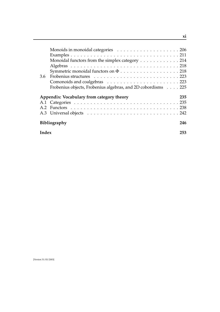| Monoidal functors from the simplex category 214<br>3.6       |  |  |     |  |
|--------------------------------------------------------------|--|--|-----|--|
| Frobenius objects, Frobenius algebras, and 2D cobordisms 225 |  |  |     |  |
| Appendix: Vocabulary from category theory                    |  |  | 235 |  |
|                                                              |  |  |     |  |
|                                                              |  |  |     |  |
|                                                              |  |  |     |  |
| <b>Bibliography</b>                                          |  |  |     |  |
| Index                                                        |  |  |     |  |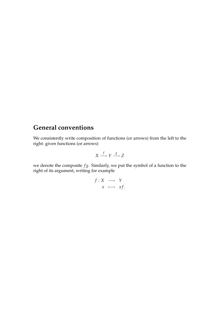#### General conventions

We consistently write composition of functions (or arrows) from the left to the right: given functions (or arrows)

$$
X \xrightarrow{f} Y \xrightarrow{g} Z
$$

we denote the composite  $fg$ . Similarly, we put the symbol of a function to the right of its argument, writing for example

$$
f: X \longrightarrow Y
$$

$$
x \longmapsto xf.
$$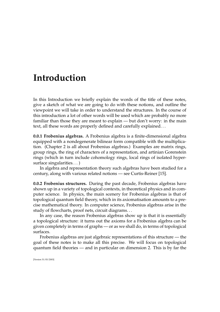### Introduction

In this Introduction we briefly explain the words of the title of these notes, give a sketch of what we are going to do with these notions, and outline the viewpoint we will take in order to understand the structures. In the course of this introduction a lot of other words will be used which are probably no more familiar than those they are meant to explain — but don't worry: in the main text, all these words are properly defined and carefully explained. . .

0.0.1 Frobenius algebras. A Frobenius algebra is a finite-dimensional algebra equipped with a nondegenerate bilinear form compatible with the multiplication. (Chapter 2 is all about Frobenius algebras.) Examples are matrix rings, group rings, the ring of characters of a representation, and artinian Gorenstein rings (which in turn include cohomology rings, local rings of isolated hypersurface singularities. . . )

In algebra and representation theory such algebras have been studied for a century, along with various related notions — see Curtis-Reiner [15].

0.0.2 Frobenius structures. During the past decade, Frobenius algebras have shown up in a variety of topological contexts, in theoretical physics and in computer science. In physics, the main scenery for Frobenius algebras is that of topological quantum field theory, which in its axiomatisation amounts to a precise mathematical theory. In computer science, Frobenius algebras arise in the study of flowcharts, proof nets, circuit diagrams. . .

In any case, the reason Frobenius algebras show up is that it is essentially a topological structure: it turns out the axioms for a Frobenius algebra can be given completely in terms of graphs — or as we shall do, in terms of topological surfaces.

Frobenius algebras are just algebraic representations of this structure — the goal of these notes is to make all this precise. We will focus on topological quantum field theories — and in particular on dimension 2. This is by far the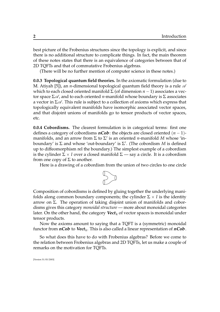best picture of the Frobenius structures since the topology is explicit, and since there is no additional structure to complicate things. In fact, the main theorem of these notes states that there is an equivalence of categories between that of 2D TQFTs and that of commutative Frobenius algebras.

(There will be no further mention of computer science in these notes.)

0.0.3 Topological quantum field theories. In the axiomatic formulation (due to M. Atiyah [5]), an *n*-dimensional topological quantum field theory is a rule  $\mathscr A$ which to each closed oriented manifold  $\Sigma$  (of dimension  $n - 1$ ) associates a vector space  $\Sigma \mathscr{A}$ , and to each oriented *n*-manifold whose boundary is  $\Sigma$  associates a vector in  $\Sigma \mathcal{A}$ . This rule is subject to a collection of axioms which express that topologically equivalent manifolds have isomorphic associated vector spaces, and that disjoint unions of manifolds go to tensor products of vector spaces, etc.

0.0.4 Cobordisms. The clearest formulation is in categorical terms: first one defines a category of cobordisms  $nCob$ : the objects are closed oriented  $(n - 1)$ manifolds, and an arrow from  $\Sigma$  to  $\Sigma'$  is an oriented *n*-manifold M whose 'inboundary' is  $\Sigma$  and whose 'out-boundary' is  $\Sigma'$ . (The cobordism M is defined up to diffeomorphism rel the boundary.) The simplest example of a cobordism is the cylinder  $\Sigma \times I$  over a closed manifold  $\Sigma$  — say a circle. It is a cobordism from one copy of  $\Sigma$  to another.

Here is a drawing of a cobordism from the union of two circles to one circle



Composition of cobordisms is defined by gluing together the underlying manifolds along common boundary components; the cylinder  $\Sigma \times I$  is the identity arrow on Σ. The operation of taking disjoint union of manifolds and cobordisms gives this category monoidal structure — more about monoidal categories later. On the other hand, the category **Vect**<sub>k</sub> of vector spaces is monoidal under tensor products.

Now the axioms amount to saying that a TQFT is a (symmetric) monoidal functor from  $nCob$  to Vect<sub>k</sub>. This is also called a linear representation of  $nCob$ .

So what does this have to do with Frobenius algebras? Before we come to the relation between Frobenius algebras and 2D TQFTs, let us make a couple of remarks on the motivation for TQFTs.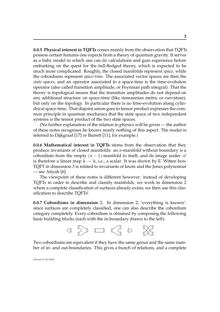0.0.5 Physical interest in TQFTs comes mainly from the observation that TQFTs possess certain features one expects from a theory of quantum gravity. It serves as a baby model in which one can do calculations and gain experience before embarking on the quest for the full-fledged theory, which is expected to be much more complicated. Roughly, the closed manifolds represent space, while the cobordisms represent space-time. The associated vector spaces are then the state spaces, and an operator associated to a space-time is the time-evolution operator (also called transition amplitude, or Feynman path integral). That the theory is topological means that the transition amplitudes do not depend on any additional structure on space-time (like riemannian metric or curvature), but only on the topology. In particular there is no time-evolution along cylindrical space-time. That disjoint union goes to tensor product expresses the common principle in quantum mechanics that the state space of two independent systems is the tensor product of the two state spaces.

(No further explanation of the relation to physics will be given — the author of these notes recognises he knows nearly nothing of this aspect. The reader is referred to Dijkgraaf [17] or Barrett [11], for example.)

0.0.6 Mathematical interest in TQFTs stems from the observation that they produce invariants of closed manifolds: an  $n$ -manifold without boundary is a cobordism from the empty  $(n - 1)$ -manifold to itself, and its image under  $\mathscr A$ is therefore a linear map  $\mathbb{k} \to \mathbb{k}$ , i.e., a scalar. It was shown by E. Witten how TQFT in dimension 3 is related to invariants of knots and the Jones polynomial — see Atiyah [6].

The viewpoint of these notes is different however: instead of developing TQFTs in order to describe and classify manifolds, we work in dimension 2 where a complete classification of surfaces already exists; we then use this classification to describe TQFTs!

0.0.7 Cobordisms in dimension 2. In dimension 2, 'everything is known': since surfaces are completely classified, one can also describe the cobordism category completely. Every cobordism is obtained by composing the following basic building blocks (each with the in-boundary drawn to the left):



Two cobordisms are equivalent if they have the same genus and the same number of in- and out-boundaries. This gives a bunch of relations, and a complete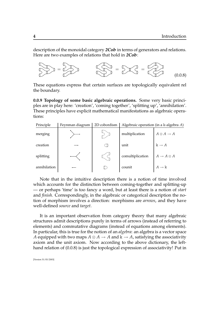description of the monoidal category **2Cob** in terms of generators and relations. Here are two examples of relations that hold in **2Cob**:



These equations express that certain surfaces are topologically equivalent rel the boundary.

0.0.9 Topology of some basic algebraic operations. Some very basic principles are in play here: 'creation', 'coming together', 'splitting up', 'annihilation'. These principles have explicit mathematical manifestations as algebraic operations:

| Principle    | Feynman diagram | 2D cobordism | Algebraic operation (in a $\mathbb k$ -algebra A) |                             |
|--------------|-----------------|--------------|---------------------------------------------------|-----------------------------|
| merging      |                 |              | multiplication                                    | $A \otimes A \rightarrow A$ |
| creation     |                 |              | unit                                              | $\mathbb{k} \to A$          |
| splitting    |                 |              | comultiplication                                  | $A \rightarrow A \otimes A$ |
| annihilation |                 |              | counit                                            | $A \to \mathbb{k}$          |

Note that in the intuitive description there is a notion of time involved which accounts for the distinction between coming-together and splitting-up — or perhaps 'time' is too fancy a word, but at least there is a notion of start and finish. Correspondingly, in the algebraic or categorical description the notion of morphism involves a direction: morphisms are arrows, and they have well-defined source and target.

It is an important observation from category theory that many algebraic structures admit descriptions purely in terms of arrows (instead of referring to elements) and commutative diagrams (instead of equations among elements). In particular, this is true for the notion of an algebra: an algebra is a vector space A equipped with two maps  $A \otimes A \rightarrow A$  and  $\Bbbk \rightarrow A$ , satisfying the associativity axiom and the unit axiom. Now according to the above dictionary, the lefthand relation of (0.0.8) is just the topological expression of associativity! Put in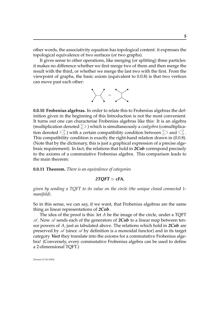other words, the associativity equation has topological content: it expresses the topological equivalence of two surfaces (or two graphs).

It gives sense to other operations, like merging (or splitting) three particles: it makes no difference whether we first merge two of them and then merge the result with the third, or whether we merge the last two with the first. From the viewpoint of graphs, the basic axiom (equivalent to 0.0.8) is that two vertices can move past each other:



0.0.10 Frobenius algebras. In order to relate this to Frobenius algebras the definition given in the beginning of this Introduction is not the most convenient. It turns out one can characterise Frobenius algebras like this: It is an algebra (multiplication denoted  $\gg$ ) which is simultaneously a *coalgebra* (comultiplication denoted  $\leq 0$  with a certain compatibility condition between  $\geq 0$  and  $\leq 0$ . This compatibility condition is exactly the right-hand relation drawn in (0.0.8). (Note that by the dictionary, this is just a graphical expression of a precise algebraic requirement). In fact, the relations that hold in **2Cob** correspond precisely to the axioms of a commutative Frobenius algebra. This comparison leads to the main theorem:

**0.0.11 Theorem.** There is an equivalence of categories

$$
2TQFT \simeq cFA,
$$

given by sending a TQFT to its value on the circle (the unique closed connected 1 manifold).

So in this sense, we can say, if we want, that Frobenius algebras are the same thing as linear representations of 2Cob.

The idea of the proof is this: let A be the image of the circle, under a TQFT  $\mathscr{A}$ . Now  $\mathscr{A}$  sends each of the generators of **2Cob** to a linear map between tensor powers of A, just as tabulated above. The relations which hold in **2Cob** are preserved by  $\mathscr A$  (since  $\mathscr A$  by definition is a monoidal functor) and in its target category Vect they translate into the axioms for a commutative Frobenius algebra! (Conversely, every commutative Frobenius algebra can be used to define a 2-dimensional TQFT.)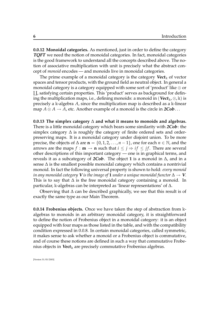0.0.12 Monoidal categories. As mentioned, just in order to define the category **TQFT** we need the notion of monoidal categories. In fact, monoidal categories is the good framework to understand all the concepts described above. The notion of associative multiplication with unit is precisely what the abstract concept of monoid encodes — and monoids live in monoidal categories.

The prime example of a monoidal category is the category  $Vect_{\mathbb{k}}$  of vector spaces and tensor products, with the ground field as neutral object. In general a monoidal category is a category equipped with some sort of 'product' like ⊗ or II, satisfying certain properties. This 'product' serves as background for defining the multiplication maps, i.e., defining monoids: a monoid in (Vect<sub>k</sub>,  $\otimes$ , k) is precisely a k-algebra A, since the multiplication map is described as a k-linear map  $A \otimes A \rightarrow A$ , etc. Another example of a monoid is the circle in **2Cob**...

0.0.13 The simplex category  $\Delta$  and what it means to monoids and algebras. There is a little monoidal category which bears some similarity with 2Cob: the simplex category  $\Delta$  is roughly the category of finite ordered sets and orderpreserving maps. It is a monoidal category under disjoint union. To be more precise, the objects of  $\Delta$  are  $\mathbf{n} = \{0, 1, 2, \dots, n - 1\}$ , one for each  $n \in \mathbb{N}$ , and the arrows are the maps  $f : \mathbf{m} \to \mathbf{n}$  such that  $i \leq j \Rightarrow if \leq jf$ . There are several other descriptions of this important category — one is in graphical terms, and reveals it as a subcategory of **2Cob**. The object 1 is a monoid in  $\Delta$ , and in a sense ∆ is the smallest possible monoidal category which contains a nontrivial monoid. In fact the following universal property is shown to hold: every monoid in any monoidal category V is the image of 1 under a unique monoidal functor  $\Delta \to V$ . This is to say that  $\Delta$  is the free monoidal category containing a monoid. In particular, k-algebras can be interpreted as 'linear representations' of ∆.

Observing that  $\Delta$  can be described graphically, we see that this result is of exactly the same type as our Main Theorem.

0.0.14 Frobenius objects. Once we have taken the step of abstraction from kalgebras to monoids in an arbitrary monoidal category, it is straightforward to define the notion of Frobenius object in a monoidal category: it is an object equipped with four maps as those listed in the table, and with the compatibility condition expressed in 0.0.8. In certain monoidal categories, called symmetric, it makes sense to ask whether a monoid or a Frobenius object is commutative, and of course these notions are defined in such a way that commutative Frobenius objects in **Vect**<sub>k</sub> are precisely commutative Frobenius algebras.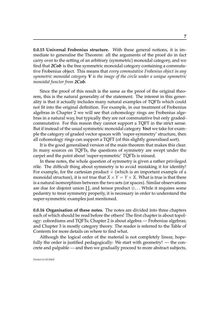0.0.15 Universal Frobenius structure. With these general notions, it is immediate to generalise the Theorem: all the arguments of the proof do in fact carry over to the setting of an arbitrary (symmetric) monoidal category, and we find that 2Cob is the free symmetric monoidal category containing a commutative Frobenius object. This means that every commutative Frobenius object in any symmetric monoidal category  $V$  is the image of the circle under a unique symmetric monoidal functor from 2Cob.

Since the proof of this result is the same as the proof of the original theorem, this is the natural generality of the statement. The interest in this generality is that it actually includes many natural examples of TQFTs which could not fit into the original definition. For example, in our treatment of Frobenius algebras in Chapter 2 we will see that cohomology rings are Frobenius algebras in a natural way, but typically they are not commutative but only gradedcommutative. For this reason they cannot support a TQFT in the strict sense. But if instead of the usual symmetric monoidal category Vect we take for example the category of graded vector spaces with 'super-symmetry' structure, then all cohomology rings can support a TQFT (of this slightly generalised sort).

It is the good generalised version of the main theorem that makes this clear. In many sources on TQFTs, the questions of symmetry are swept under the carpet and the point about 'super-symmetric' TQFTs is missed.

In these notes, the whole question of symmetry is given a rather privileged rôle. The difficult thing about symmetry is to avoid mistaking it for identity! For example, for the cartesian product  $\times$  (which is an important example of a monoidal structure), it is *not* true that  $X \times Y = Y \times X$ . What is true is that there is a natural isomorphism between the two sets (or spaces). Similar observations are due for disjoint union  $\prod$ , and tensor product  $\otimes \ldots$  While it requires some pedantry to treat symmetry properly, it is necessary in order to understand the super-symmetric examples just mentioned.

0.0.16 Organisation of these notes. The notes are divided into three chapters each of which should be read before the others! The first chapter is about topology: cobordisms and TQFTs; Chapter 2 is about algebra — Frobenius algebras; and Chapter 3 is mostly category theory. The reader is referred to the Table of Contents for more details on where to find what.

Although the logical order of the material is not completely linear, hopefully the order is justified pedagogically: We start with geometry! — the concrete and palpable — and then we gradually proceed to more abstract subjects,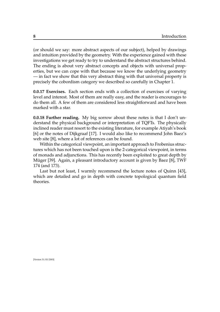(or should we say: more abstract aspects of our subject), helped by drawings and intuition provided by the geometry. With the experience gained with these investigations we get ready to try to understand the abstract structures behind. The ending is about very abstract concepts and objects with universal properties, but we can cope with that because we know the underlying geometry — in fact we show that this very abstract thing with that universal property is precisely the cobordism category we described so carefully in Chapter 1.

0.0.17 Exercises. Each section ends with a collection of exercises of varying level and interest. Most of them are really easy, and the reader is encourages to do them all. A few of them are considered less straightforward and have been marked with a star.

0.0.18 Further reading. My big sorrow about these notes is that I don't understand the physical background or interpretation of TQFTs. The physically inclined reader must resort to the existing literature, for example Atiyah's book [6] or the notes of Dijkgraaf [17]. I would also like to recommend John Baez's web site [8], where a lot of references can be found.

Within the categorical viewpoint, an important approach to Frobenius structures which has not been touched upon is the 2-categorical viewpoint, in terms of monads and adjunctions. This has recently been exploited to great depth by Müger [39]. Again, a pleasant introductory account is given by Baez [8], TWF 174 (and 173).

Last but not least, I warmly recommend the lecture notes of Quinn [43], which are detailed and go in depth with concrete topological quantum field theories.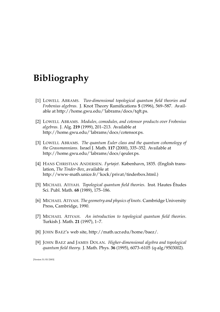# Bibliography

- [1] LOWELL ABRAMS. Two-dimensional topological quantum field theories and Frobenius algebras. J. Knot Theory Ramifications 5 (1996), 569–587. Available at http://home.gwu.edu/˜labrams/docs/tqft.ps.
- [2] LOWELL ABRAMS. Modules, comodules, and cotensor products over Frobenius algebras. J. Alg. 219 (1999), 201–213. Available at http://home.gwu.edu/˜labrams/docs/cotensor.ps.
- [3] LOWELL ABRAMS. The quantum Euler class and the quantum cohomology of the Grassmannians. Israel J. Math. 117 (2000), 335–352. Available at http://home.gwu.edu/˜labrams/docs/qeuler.ps.
- [4] HANS CHRISTIAN ANDERSEN. Fyrtøjet. København, 1835. (English translation, The Tinder-Box, available at http://www-math.unice.fr/˜kock/privat/tinderbox.html.)
- [5] MICHAEL ATIYAH. Topological quantum field theories. Inst. Hautes Études Sci. Publ. Math. 68 (1989), 175–186.
- [6] MICHAEL ATIYAH. The geometry and physics of knots. Cambridge University Press, Cambridge, 1990.
- [7] MICHAEL ATIYAH. An introduction to topological quantum field theories. Turkish J. Math. 21 (1997), 1–7.
- [8] JOHN BAEZ's web site, http://math.ucr.edu/home/baez/.
- [9] JOHN BAEZ and JAMES DOLAN. Higher-dimensional algebra and topological quantum field theory. J. Math. Phys. 36 (1995), 6073–6105 (q-alg/9503002).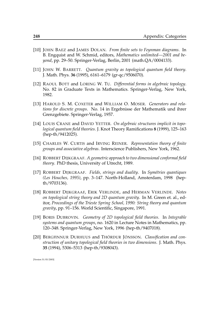- [10] JOHN BAEZ and JAMES DOLAN. From finite sets to Feynman diagrams. In B. Engquist and W. Schmid, editors, Mathematics unlimited—2001 and beyond, pp. 29–50. Springer-Verlag, Berlin, 2001 (math.QA/0004133).
- [11] JOHN W. BARRETT. Quantum gravity as topological quantum field theory. J. Math. Phys. 36 (1995), 6161–6179 (gr-qc/9506070).
- [12] RAOUL BOTT and LORING W. TU. Differential forms in algebraic topology. No. 82 in Graduate Texts in Mathematics. Springer-Verlag, New York, 1982.
- [13] HAROLD S. M. COXETER and WILLIAM O. MOSER. Generators and relations for discrete groups. No. 14 in Ergebnisse der Mathematik und ihrer Grenzgebiete. Springer-Verlag, 1957.
- [14] LOUIS CRANE and DAVID YETTER. On algebraic structures implicit in topological quantum field theories. J. Knot Theory Ramifications 8 (1999), 125–163 (hep-th/9412025).
- [15] CHARLES W. CURTIS and IRVING REINER. Representation theory of finite groups and associative algebras. Interscience Publishers, New York, 1962.
- [16] ROBBERT DIJKGRAAF. A geometric approach to two dimensional conformal field theory. PhD thesis, University of Utrecht, 1989.
- [17] ROBBERT DIJKGRAAF. Fields, strings and duality. In Symétries quantiques (Les Houches, 1995), pp. 3–147. North-Holland, Amsterdam, 1998 (hepth/9703136).
- [18] ROBBERT DIJKGRAAF, ERIK VERLINDE, and HERMAN VERLINDE. Notes on topological string theory and 2D quantum gravity. In M. Green et. al., editor, Proceedings of the Trieste Spring School, 1990: String theory and quantum gravity, pp. 91–156. World Scientific, Singapore, 1991.
- [19] BORIS DUBROVIN. Geometry of 2D topological field theories. In Integrable systems and quantum groups, no. 1620 in Lecture Notes in Mathematics, pp. 120–348. Springer-Verlag, New York, 1996 (hep-th/9407018).
- [20] BERGFINNUR DURHUUS and THÓRDUR JÓNSSON. Classification and construction of unitary topological field theories in two dimensions. J. Math. Phys. 35 (1994), 5306–5313 (hep-th/9308043).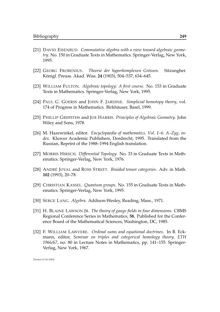- [21] DAVID EISENBUD. Commutative algebra with a view toward algebraic geometry. No. 150 in Graduate Texts in Mathematics. Springer-Verlag, New York, 1995.
- [22] GEORG FROBENIUS. Theorie der hyperkomplexen Grössen. Sitzungber. Königl. Preuss. Akad. Wiss. 24 (1903), 504–537; 634–645.
- [23] WILLIAM FULTON. Algebraic topology: A first course. No. 153 in Graduate Texts in Mathematics. Springer-Verlag, New York, 1995.
- [24] PAUL G. GOERSS and JOHN F. JARDINE. Simplicial homotopy theory, vol. 174 of Progress in Mathematics. Birkhäuser, Basel, 1999.
- [25] PHILLIP GRIFFITHS and JOE HARRIS. Principles of Algebraic Geometry. John Wiley and Sons, 1978.
- [26] M. Hazewinkel, editor. Encyclopaedia of mathematics. Vol. 1–6. A–Zyg, index. Kluwer Academic Publishers, Dordrecht, 1995. Translated from the Russian, Reprint of the 1988–1994 English translation.
- [27] MORRIS HIRSCH. Differential Topology. No. 33 in Graduate Texts in Mathematics. Springer-Verlag, New York, 1976.
- [28] ANDRÉ JOYAL and ROSS STREET. Braided tensor categories. Adv. in Math. 102 (1993), 20–78.
- [29] CHRISTIAN KASSEL. Quantum groups. No. 155 in Graduate Texts in Mathematics. Springer-Verlag, New York, 1995.
- [30] SERGE LANG. Algebra. Addison-Wesley, Reading, Mass., 1971.
- [31] H. BLAINE LAWSON JR. The theory of gauge fields in four dimensions. CBMS Regional Conference Series in Mathematics, 58, Published for the Conference Board of the Mathematical Sciences, Washington, DC, 1985.
- [32] F. WILLIAM LAWVERE. Ordinal sums and equational doctrines. In B. Eckmann, editor, Seminar on triples and categorical homology theory, ETH 1966/67, no. 80 in Lecture Notes in Mathematics, pp. 141–155. Springer-Verlag, New York, 1967.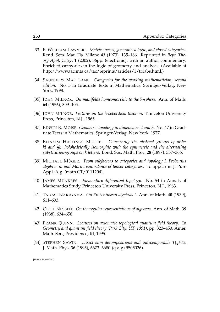- [33] F. WILLIAM LAWVERE. Metric spaces, generalized logic, and closed categories. Rend. Sem. Mat. Fis. Milano 43 (1973), 135–166. Reprinted in Repr. Theory Appl. Categ. 1 (2002), 36pp. (electronic), with an author commentary: Enriched categories in the logic of geometry and analysis. (Available at http://www.tac.mta.ca/tac/reprints/articles/1/tr1abs.html.)
- [34] SAUNDERS MAC LANE. Categories for the working mathematician, second edition. No. 5 in Graduate Texts in Mathematics. Springer-Verlag, New York, 1998.
- [35] JOHN MILNOR. On manifolds homeomorphic to the 7-sphere. Ann. of Math. 64 (1956), 399–405.
- [36] JOHN MILNOR. Lectures on the h-cobordism theorem. Princeton University Press, Princeton, N.J., 1965.
- [37] EDWIN E. MOISE. Geometric topology in dimensions 2 and 3. No. 47 in Graduate Texts in Mathematics. Springer-Verlag, New York, 1977.
- [38] ELIAKIM HASTINGS MOORE. Concerning the abstract groups of order k! and  $\frac{1}{2}$ k! holohedrically isomorphic with the symmetric and the alternating substitution-groups on k letters. Lond. Soc. Math. Proc. 28 (1897), 357–366.
- [39] MICHAEL MÜGER. From subfactors to categories and topology I. Frobenius algebras in and Morita equivalence of tensor categories. To appear in J. Pure Appl. Alg. (math.CT/0111204).
- [40] JAMES MUNKRES. Elementary differential topology. No. 54 in Annals of Mathematics Study. Princeton University Press, Princeton, N.J., 1963.
- [41] TADASI NAKAYAMA. On Frobeniusean algebras I. Ann. of Math. 40 (1939), 611–633.
- [42] CECIL NESBITT. On the regular representations of algebras. Ann. of Math. 39 (1938), 634–658.
- [43] FRANK QUINN. Lectures on axiomatic topological quantum field theory. In Geometry and quantum field theory (Park City, UT, 1991), pp. 323–453. Amer. Math. Soc., Providence, RI, 1995.
- [44] STEPHEN SAWIN. Direct sum decompositions and indecomposable TQFTs. J. Math. Phys. 36 (1995), 6673–6680 (q-alg/9505026).